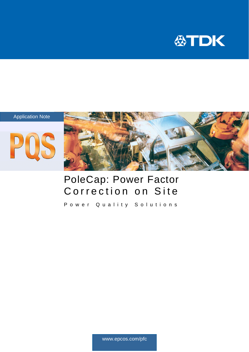







## PoleCap: Power Factor Correction on Site

Power Quality Solutions

www.epcos.com/pfc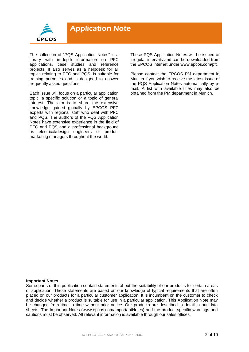

The collection of "PQS Application Notes" is a library with in-depth information on PFC applications, case studies and reference projects. It also serves as a helpdesk for all topics relating to PFC and PQS, is suitable for training purposes and is designed to answer frequently asked questions.

Each issue will focus on a particular application topic, a specific solution or a topic of general interest. The aim is to share the extensive knowledge gained globally by EPCOS PFC experts with regional staff who deal with PFC and PQS. The authors of the PQS Application Notes have extensive experience in the field of PFC and PQS and a professional background as electrical/design engineers or product marketing managers throughout the world.

These PQS Application Notes will be issued at irregular intervals and can be downloaded from the EPCOS Internet under www.epcos.com/pfc

Please contact the EPCOS PM department in Munich if you wish to receive the latest issue of the PQS Application Notes automatically by email. A list with available titles may also be obtained from the PM department in Munich.

#### **Important Notes**

Some parts of this publication contain statements about the suitability of our products for certain areas of application. These statements are based on our knowledge of typical requirements that are often placed on our products for a particular customer application. It is incumbent on the customer to check and decide whether a product is suitable for use in a particular application. This Application Note may be changed from time to time without prior notice. Our products are described in detail in our data sheets. The Important Notes (www.epcos.com/ImportantNotes) and the product specific warnings and cautions must be observed. All relevant information is available through our sales offices.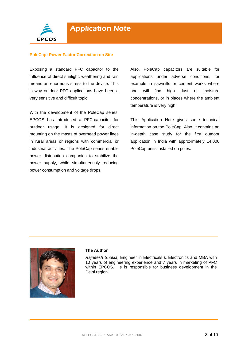

#### **PoleCap: Power Factor Correction on Site**

Exposing a standard PFC capacitor to the influence of direct sunlight, weathering and rain means an enormous stress to the device. This is why outdoor PFC applications have been a very sensitive and difficult topic.

With the development of the PoleCap series, EPCOS has introduced a PFC-capacitor for outdoor usage. It is designed for direct mounting on the masts of overhead power lines in rural areas or regions with commercial or industrial activities. The PoleCap series enable power distribution companies to stabilize the power supply, while simultaneously reducing power consumption and voltage drops.

Also, PoleCap capacitors are suitable for applications under adverse conditions, for example in sawmills or cement works where one will find high dust or moisture concentrations, or in places where the ambient temperature is very high.

This Application Note gives some technical information on the PoleCap. Also, it contains an in-depth case study for the first outdoor application in India with approximately 14,000 PoleCap units installed on poles.



#### **The Author**

*Rajneesh Shukla,* Engineer in Electricals & Electronics and MBA with 10 years of engineering experience and 7 years in marketing of PFC within EPCOS. He is responsible for business development in the Delhi region.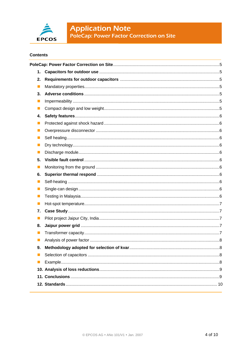

# **Application Note**<br>PoleCap: Power Factor Correction on Site

#### **Contents**

| 1.                          |  |
|-----------------------------|--|
| 2.                          |  |
| $\blacksquare$              |  |
| 3.                          |  |
| п                           |  |
| $\mathcal{L}_{\mathcal{A}}$ |  |
| 4.                          |  |
| п                           |  |
| ш                           |  |
| ×                           |  |
|                             |  |
| ×                           |  |
| 5.                          |  |
| ш                           |  |
| 6.                          |  |
| m.                          |  |
| п                           |  |
| п                           |  |
| п                           |  |
| 7.                          |  |
| $\blacksquare$              |  |
| 8.                          |  |
| ×                           |  |
| $\blacksquare$              |  |
| 9.                          |  |
|                             |  |
|                             |  |
|                             |  |
|                             |  |
|                             |  |
|                             |  |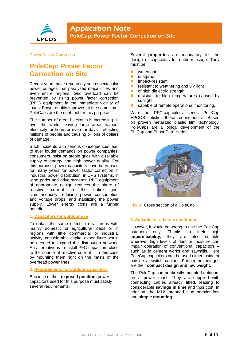

#### Power Factor Correction

### **PoleCap: Power Factor Correction on Site**

Recent years have repeatedly seen spectacular power outages that paralyzed major cities and even entire regions. Grid overload can be prevented by using power factor correction (PFC) equipment in the immediate vicinity of loads. Power quality improves at the same time. PoleCaps are the right tool for this purpose.

The number of great blackouts is increasing all over the world, leaving large areas without electricity for hours or even for days – effecting millions of people and causing billions of dollars of damage.

Such incidents with serious consequences lead to ever louder demands on power companies: consumers insist on stable grids with a reliable supply of energy and high power quality. For this purpose, power capacitors have been used for many years for power factor correction in industrial power distribution, in UPS systems, in wind parks and drive systems. PFC equipment of appropriate design reduces the share of reactive current in the entire grid, simultaneously reducing power consumption and voltage drops, and stabilizing the power supply. Lower energy costs are a further benefit.

#### **1. Capacitors for outdoor use**

To obtain the same effect in rural areas with mainly domestic or agricultural loads or in regions with little commercial or industrial activity, considerable capital expenditure would be needed to expand the distribution network. An alternative is to install PFC capacitors close to the source of reactive current – in this case by mounting them right on the masts of the overhead power lines.

#### **2. Requirements for outdoor capacitors**

Because of their **exposed position,** power capacitors used for this purpose must satisfy several requirements.

Several **properties** are mandatory for the design of capacitors for outdoor usage. They must be

- **u** watertight
- **dustproof**
- **n** impact-resistant
- $\blacksquare$  resistant to weathering and UV light
- **of high dielectric strength**<br>**Exercistant to high temper**
- resistant to high temperatures caused by sunlight
- capable of remote operational monitoring.

With the PFC-capacitors series PoleCap EPCOS satisfies these requirements. Based on proven metalized plastic film technology, PoleCaps are a logical development of the PhiCap and PhaseCap<sup>®</sup> series.



**Fig. 1:** Cross section of a PoleCap

#### **3. Suitable for adverse conditions**

However, it would be wrong to use the PoleCap outdoors only. Thanks to their high **impermeability**, they are also suitable wherever high levels of dust or moisture can impair operation of conventional capacitors – such as in cement works and sawmills. Here PoleCap capacitors can be used either inside or outside a switch cabinet. Further advantages are their **compact design and low weight.**

The PoleCap can be directly mounted outdoors on a power mast. They are supplied with connecting cables already fitted, leading to considerable **savings in time** and thus cost. In addition, the M12 threaded stud permits fast and **simple mounting**.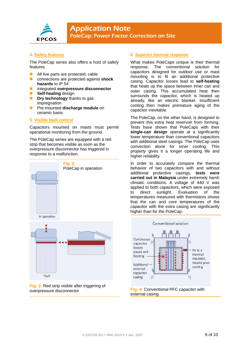

#### **4. Safety features**

The PoleCap series also offers a host of safety features.

- All live parts are protected; cable
- connections are protected against **shock hazards** to IP 54
- Integrated **overpressure disconnector**
- **Self-healing** design
- **Dry technology** thanks to gas impregnation
- Pre-mounted **discharge module** on ceramic basis

#### **5. Visible fault control**

Capacitors mounted on masts must permit operational monitoring from the ground.

The PoleCap series are equipped with a red strip that becomes visible as soon as the overpressure disconnector has triggered in response to a malfunction.



**Fig. 3:** Red strip visible after triggering of overpressure disconnector

#### **6. Superior thermal response**

What makes PoleCaps unique is their thermal response. The conventional solution for capacitors designed for outdoor use or mast mounting is to fit an additional protective casing. Capacitor losses lead to **self-heating**  that heats up the space between inner can and outer casing. This accumulated heat then surrounds the capacitor, which is heated up already, like an electric blanket. Insufficient cooling then makes premature aging of the capacitor inevitable.

The PoleCap, on the other hand, is designed to prevent this extra heat reservoir from forming. Tests have shown that PoleCaps with their **single-can design** operate at a significantly lower temperature than conventional capacitors with additional steel casings. The PoleCap uses convection alone for inner cooling. This property gives it a longer operating life and higher reliability.

In order to accurately compare the thermal behavior of two capacitors with and without additional protective casings, **tests were carried out in Malaysia** under extremely harsh climatic conditions. A voltage of 440 V was applied to both capacitors, which were exposed to direct sunlight. Evaluation of the temperatures measured with thermistors shows that the can and core temperatures of the capacitor with the extra casing are significantly higher than for the PoleCap.



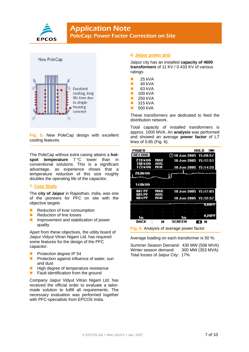



**Fig. 5:** New PoleCap design with excellent cooling features

The PoleCap without extra casing attains a **hotspot temperature** 7 °C lower than in conventional solutions. This is a significant advantage, as experience shows that a temperature reduction of this size roughly doubles the operating life of the capacitor.

#### **7. Case Study**

The **city of Jaipur** in Rajasthan, India, was one of the pioneers for PFC on site with the objective targets

- Reduction of kvar consumption
- Reduction of line losses
- **Improvement and stabilization of power** quality

Apart from these objectives, the utility board of Jaipur Vidyut Vitran Nigam Ltd. has required some features for the design of the PFC capacitor:

- Protection degree IP 54
- **Protection against influence of water, sun** and dust
- **High degree of temperature resistance**
- $\blacksquare$  Fault identification from the ground

Company Jaipur Vidyut Vitran Nigam Ltd. has received the official order to evaluate a tailormade solution to fulfill all requirements. The necessary evaluation was performed together with PFC-specialists from EPCOS India.

#### **8. Jaipur power grid**

Jaipur city has an installed **capacity of 4600 transformers** of 11 KV / 0.433 KV of various ratings:

- $\blacksquare$  25 kVA
- $\blacksquare$  40 kVA
- $\blacksquare$  63 kVA
- $100$  kVA  $\blacksquare$  250 kVA
- $\blacksquare$  315 kVA
- 500 kVA
- These transformers are dedicated to feed the

distribution network.

Total capacity of installed transformers is approx. 1000 MVA. An **analysis** was performed and showed an average **power factor** of LT lines of 0.85 (Fig. 6).

| POWER                     |            |   |                             |               | HOLD   | le     |
|---------------------------|------------|---|-----------------------------|---------------|--------|--------|
| <b>RECORD</b>             |            |   | <b>10 Jun 2005 15:20:57</b> |               |        |        |
| 219 kVA<br><b>190 kUA</b> | MAX<br>AUG |   | 10 Jun 2005 15:17:51        |               |        |        |
| 173 kVA                   | мін        |   | 10 Jun 2005 15:14:33        |               |        |        |
| 20.0kVA                   |            |   |                             |               |        |        |
|                           |            |   |                             |               |        |        |
|                           |            |   |                             |               |        |        |
| 14.OkVA                   |            |   |                             |               |        |        |
| 087 PF                    | MAX        |   | 10 Jun 2005 15:17:03        |               |        |        |
| 085 PF<br>084 PF          | AUG<br>MIN |   | 10 Jun 2005 15:12:57        |               |        |        |
|                           |            |   |                             |               |        | U.8UPF |
|                           |            |   |                             |               |        |        |
|                           |            |   |                             |               |        | 0.20PF |
| 1 m                       |            |   | 5m                          |               |        |        |
| BACK                      |            | н | <b>SCREEN</b>               |               | ы<br>6 |        |
|                           |            |   |                             | $\sim$ $\sim$ |        |        |

**Fig. 6:** Analysis of average power factor

Average loading on each transformer is 50 %.

Summer Season Demand: 430 MW (506 MVA) Winter season demand: 300 MW (353 MVA) Total losses of Jaipur City: 17%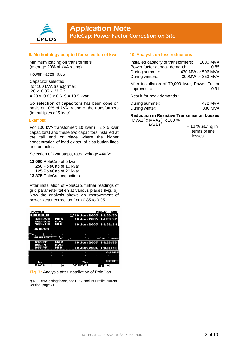

#### **9. Methodology adopted for selection of kvar**

Minimum loading on transformers (average 20% of kVA rating)

Power Factor: 0.85

Capacitor selected: for 100 kVA transformer: 20 x 0.85 x M.F.\*)  $= 20 \times 0.85 \times 0.619 = 10.5$  kvar

So **selection of capacitors** has been done on basis of 10% of kVA rating of the transformers (in multiples of 5 kvar).

#### Example:

For 100 kVA transformer: 10 kvar  $(= 2 \times 5 \text{ kvar})$ capacitors) and these two capacitors installed at the tail end or place where the higher concentration of load exists, of distribution lines and on poles.

Selection of kvar steps, rated voltage 440 V:

**13,000** PoleCap of 5 kvar **250** PoleCap of 10 kvar **125** PoleCap of 20 kvar **13,375** PoleCap capacitors

After installation of PoleCap, further readings of grid parameter taken at various places (Fig. 6). Now the analysis shows an improvement of power factor correction from 0.85 to 0.95.

| POWER              |            |               | HOLD<br>◚               |
|--------------------|------------|---------------|-------------------------|
| RECORD             |            |               | $①10$ Jun 2005 14:36:53 |
| 430 KVA<br>399 KUA | MAX<br>AVG |               | 10 Jun 2005 14:28:52    |
| 388 kUA            | мін        |               | 10 Jun 2005 14:32:24    |
| 46.0kVA ·          |            | ı             |                         |
|                    |            |               |                         |
|                    |            |               |                         |
| 40.0KUA            |            |               |                         |
|                    |            |               |                         |
| 096 PF             | MAX        |               | 10 Jun 2005 14:28:53    |
| 095 PF<br>095 PF   | AUG<br>мін |               | 10 Jun 2005 14:31:41    |
|                    |            | ٠             | $0.80$ PF               |
|                    |            |               |                         |
|                    |            |               |                         |
| 1 m                |            | 5m            | 0.20PF                  |
| <b>RACK</b>        | М          | <b>SCREEN</b> | ы<br>-3                 |

**Fig. 7:** Analysis after installation of PoleCap

\*) M.F. = weighting factor, see PFC Product Profile, current version, page 71

#### **10. Analysis on loss reductions**

| Installed capacity of transformers: | 1000 MVA                                                |
|-------------------------------------|---------------------------------------------------------|
| Power factor at peak demand:        | 0.85                                                    |
| During summer:                      | 430 MW or 506 MVA                                       |
| During winters:                     | 300MW or 353 MVA                                        |
| improves to                         | After installation of 70,000 kvar, Power Factor<br>በ 91 |

Result for peak demands :

| During summer: | 472 MVA |
|----------------|---------|
| During winter: | 330 MVA |

**Reduction in Resistive Transmission Losses**   $(MVA1<sup>2</sup> × MVA2<sup>2</sup>) × 100 %$ 

 $MVA1<sup>2</sup>$ 

 $= 13 %$  saving in terms of line losses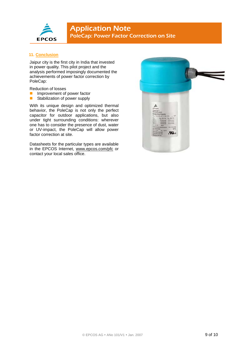

#### **11. Conclusion**

Jaipur city is the first city in India that invested in power quality. This pilot project and the analysis performed imposingly documented the achievements of power factor correction by PoleCap:

Reduction of losses

- **Improvement of power factor**
- Stabilization of power supply

With its unique design and optimized thermal behavior, the PoleCap is not only the perfect capacitor for outdoor applications, but also under tight surrounding conditions: wherever one has to consider the presence of dust, water or UV-impact, the PoleCap will allow power factor correction at site.

Datasheets for the particular types are available in the EPCOS Internet, www.epcos.com/pfc or contact your local sales office.